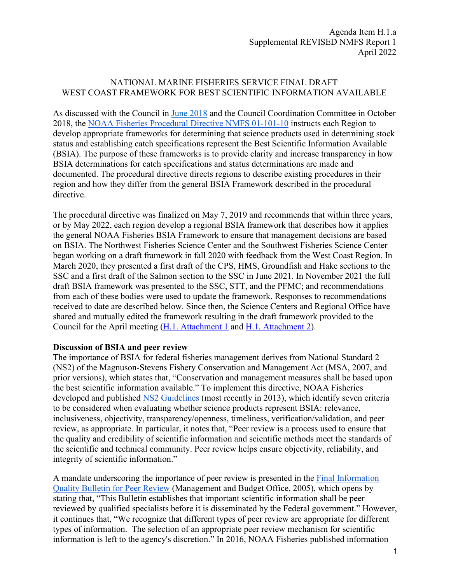# NATIONAL MARINE FISHERIES SERVICE FINAL DRAFT WEST COAST FRAMEWORK FOR BEST SCIENTIFIC INFORMATION AVAILABLE

As discussed with the Council in [June 2018](https://www.pcouncil.org/june-2018-briefing-book/) and the Council Coordination Committee in October 2018, the NOAA [Fisheries Procedural Directive NMFS 01-101-10](https://media.fisheries.noaa.gov/dam-migration/01-101-10.pdf) instructs each Region to develop appropriate frameworks for determining that science products used in determining stock status and establishing catch specifications represent the Best Scientific Information Available (BSIA). The purpose of these frameworks is to provide clarity and increase transparency in how BSIA determinations for catch specifications and status determinations are made and documented. The procedural directive directs regions to describe existing procedures in their region and how they differ from the general BSIA Framework described in the procedural directive.

The procedural directive was finalized on May 7, 2019 and recommends that within three years, or by May 2022, each region develop a regional BSIA framework that describes how it applies the general NOAA Fisheries BSIA Framework to ensure that management decisions are based on BSIA. The Northwest Fisheries Science Center and the Southwest Fisheries Science Center began working on a draft framework in fall 2020 with feedback from the West Coast Region. In March 2020, they presented a first draft of the CPS, HMS, Groundfish and Hake sections to the SSC and a first draft of the Salmon section to the SSC in June 2021. In November 2021 the full draft BSIA framework was presented to the SSC, STT, and the PFMC; and recommendations from each of these bodies were used to update the framework. Responses to recommendations received to date are described below. Since then, the Science Centers and Regional Office have shared and mutually edited the framework resulting in the draft framework provided to the Council for the April meeting [\(H.1. Attachment 1](https://www.pcouncil.org/documents/2022/03/h-1-attachment-1-west-coast-best-scientific-information-available-regional-framework.pdf/) and [H.1. Attachment 2\)](https://www.pcouncil.org/documents/2022/03/h-1-attachment-2-west-coast-best-scientific-information-available-regional-framework-workbook-electronic-only-excel-workbook.xlsx/).

### **Discussion of BSIA and peer review**

The importance of BSIA for federal fisheries management derives from National Standard 2 (NS2) of the Magnuson-Stevens Fishery Conservation and Management Act (MSA, 2007, and prior versions), which states that, "Conservation and management measures shall be based upon the best scientific information available." To implement this directive, NOAA Fisheries developed and published [NS2 Guidelines](https://www.ecfr.gov/current/title-50/chapter-VI/part-600/subpart-D/section-600.315#p-600.315(b)) (most recently in 2013), which identify seven criteria to be considered when evaluating whether science products represent BSIA: relevance, inclusiveness, objectivity, transparency/openness, timeliness, verification/validation, and peer review, as appropriate. In particular, it notes that, "Peer review is a process used to ensure that the quality and credibility of scientific information and scientific methods meet the standards of the scientific and technical community. Peer review helps ensure objectivity, reliability, and integrity of scientific information."

A mandate underscoring the importance of peer review is presented in the Final Information [Quality Bulletin for Peer Review](https://www.govinfo.gov/app/details/FR-2005-01-14/05-769) (Management and Budget Office, 2005), which opens by stating that, "This Bulletin establishes that important scientific information shall be peer reviewed by qualified specialists before it is disseminated by the Federal government." However, it continues that, "We recognize that different types of peer review are appropriate for different types of information. The selection of an appropriate peer review mechanism for scientific information is left to the agency's discretion." In 2016, NOAA Fisheries published information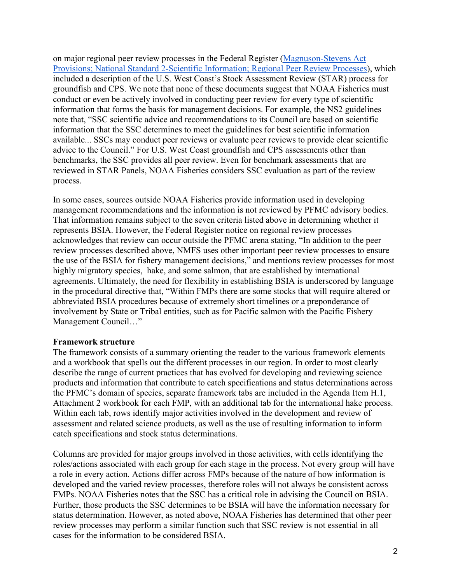on major regional peer review processes in the Federal Register [\(Magnuson-Stevens Act](https://www.federalregister.gov/documents/2016/08/16/2016-19522/magnuson-stevens-act-provisions-national-standard-2-scientific-information-regional-peer-review)  [Provisions; National Standard 2-Scientific Information; Regional Peer Review Processes\)](https://www.federalregister.gov/documents/2016/08/16/2016-19522/magnuson-stevens-act-provisions-national-standard-2-scientific-information-regional-peer-review), which included a description of the U.S. West Coast's Stock Assessment Review (STAR) process for groundfish and CPS. We note that none of these documents suggest that NOAA Fisheries must conduct or even be actively involved in conducting peer review for every type of scientific information that forms the basis for management decisions. For example, the NS2 guidelines note that, "SSC scientific advice and recommendations to its Council are based on scientific information that the SSC determines to meet the guidelines for best scientific information available... SSCs may conduct peer reviews or evaluate peer reviews to provide clear scientific advice to the Council." For U.S. West Coast groundfish and CPS assessments other than benchmarks, the SSC provides all peer review. Even for benchmark assessments that are reviewed in STAR Panels, NOAA Fisheries considers SSC evaluation as part of the review process.

In some cases, sources outside NOAA Fisheries provide information used in developing management recommendations and the information is not reviewed by PFMC advisory bodies. That information remains subject to the seven criteria listed above in determining whether it represents BSIA. However, the Federal Register notice on regional review processes acknowledges that review can occur outside the PFMC arena stating, "In addition to the peer review processes described above, NMFS uses other important peer review processes to ensure the use of the BSIA for fishery management decisions," and mentions review processes for most highly migratory species, hake, and some salmon, that are established by international agreements. Ultimately, the need for flexibility in establishing BSIA is underscored by language in the procedural directive that, "Within FMPs there are some stocks that will require altered or abbreviated BSIA procedures because of extremely short timelines or a preponderance of involvement by State or Tribal entities, such as for Pacific salmon with the Pacific Fishery Management Council…"

### **Framework structure**

The framework consists of a summary orienting the reader to the various framework elements and a workbook that spells out the different processes in our region. In order to most clearly describe the range of current practices that has evolved for developing and reviewing science products and information that contribute to catch specifications and status determinations across the PFMC's domain of species, separate framework tabs are included in the Agenda Item H.1, Attachment 2 workbook for each FMP, with an additional tab for the international hake process. Within each tab, rows identify major activities involved in the development and review of assessment and related science products, as well as the use of resulting information to inform catch specifications and stock status determinations.

Columns are provided for major groups involved in those activities, with cells identifying the roles/actions associated with each group for each stage in the process. Not every group will have a role in every action. Actions differ across FMPs because of the nature of how information is developed and the varied review processes, therefore roles will not always be consistent across FMPs. NOAA Fisheries notes that the SSC has a critical role in advising the Council on BSIA. Further, those products the SSC determines to be BSIA will have the information necessary for status determination. However, as noted above, NOAA Fisheries has determined that other peer review processes may perform a similar function such that SSC review is not essential in all cases for the information to be considered BSIA.